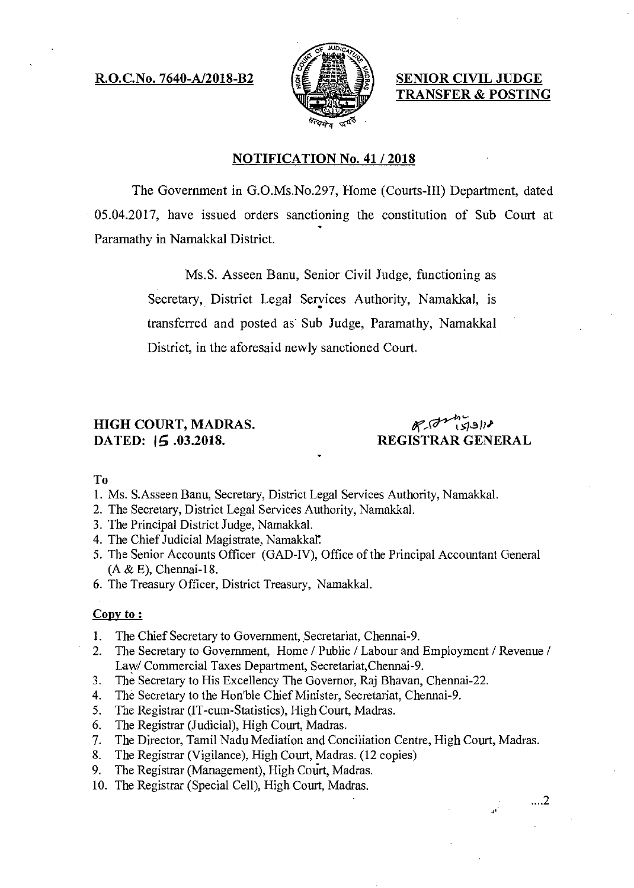### R.O.C.No. 7640-A/2018-B2  $\left[\begin{array}{cc} \xi \in \mathcal{L} \end{array}\right]$  SENIOR CIVIL JUDGE



TRANSFER & POSTING

#### NOTIFICATION No. 41 / 2018

The Government in G.O.Ms.No.297, Home (Courts-III) Department, dated 05.04.2017, have issued orders sanctioning the constitution of Sub Court at Paramathy in Namakkal District.

> Ms.S. Asseen Banu, Senior Civil Judge, functioning as Secretary, District Legal Services Authority, Namakkal, is transferred and posted as Sub Judge, Paramathy, Namakkal District, in the aforesaid newly sanctioned Court.

# HIGH COURT, MADRAS.<br>DATED: 15.03.2018. REGISTRAR GEN

REGISTRAR GENERAL

To

- 1. Ms. S.Asseen Banu, Secretary, District Legal Services Authority, Namakkal.
- 2. The Secretary, District Legal Services Authority, Namakkal.
- 3. The Principal District Judge, Namakkal.
- 4. The Chief Judicial Magistrate, Namakkal.
- 5. The Senior Accounts Officer (GAD-1V), Office of the Principal Accountant General (A & E), Chennai-18.
- 6. The Treasury Officer, District Treasury, Namakkal.

#### Copy to:

- 1. The Chief Secretary to Government, Secretariat, Chennai-9.
- 2. The Secretary to Government, Home / Public / Labour and Employment / Revenue / Law/ Commercial Taxes Department, Secretariat,Chennai-9.
- 3. The Secretary to His Excellency The Governor, Raj Bhavan, Chennai-22.
- 4. The Secretary to the Hon'ble Chief Minister, Secretariat, Chennai-9.
- 5. The Registrar (IT-cum-Statistics), High Court, Madras.
- 6. The Registrar (Judicial), High Court, Madras.
- 7. The Director, Tamil Nadu Mediation and Conciliation Centre, High Court, Madras.
- 8. The Registrar (Vigilance), High Court, Madras. (12 copies)
- 9. The Registrar (Management), High Court, Madras.
- 10. The Registrar (Special Cell), High Court, Madras.

 $\dots$ .2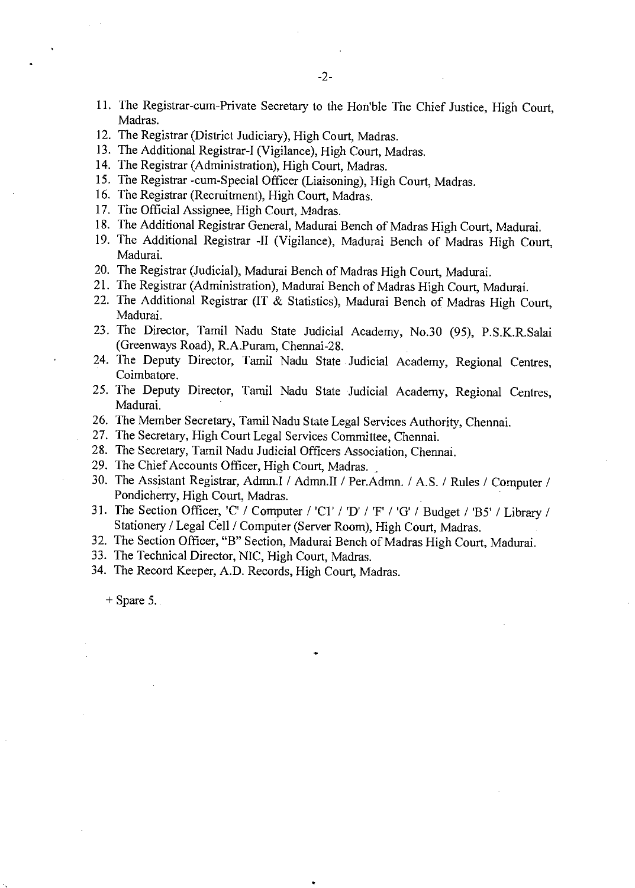- 11. The Registrar-cum-Private Secretary to the Hon'ble The Chief Justice, High Court, Madras.
- 12. The Registrar (District Judiciary), High Court, Madras.
- 13. The Additional Registrar-I (Vigilance), High Court, Madras.
- 14. The Registrar (Administration), High Court, Madras.
- 15. The Registrar -cum-Special Officer (Liaisoning), High Court, Madras.
- 16. The Registrar (Recruitment), High Court, Madras.
- 17. The Official Assignee, High Court, Madras.
- 18. The Additional Registrar General, Madurai Bench of Madras High Court, Madurai.
- 19. The Additional Registrar -II (Vigilance), Madurai Bench of Madras High Court, Madurai.
- 20. The Registrar (Judicial), Madurai Bench of Madras High Court, Madurai.
- 21. The Registrar (Administration), Madurai Bench of Madras High Court, Madurai.
- 22. The Additional Registrar (IT & Statistics), Madurai Bench of Madras High Court, Madurai.
- 23. The Director, Tamil Nadu State Judicial Academy, No.30 (95), P.S.K.R.Salai (Greenways Road), R.A.Puram, Chennai-28.
- 24. The Deputy Director, Tamil Nadu State Judicial Academy, Regional Centres, Coimbatore.
- 25. The Deputy Director, Tamil Nadu State Judicial Academy, Regional Centres, Madurai.
- 26. The Member Secretary, Tamil Nadu State Legal Services Authority, Chennai.
- 27. The Secretary, High Court Legal Services Committee, Chennai.
- 28. The Secretary, Tamil Nadu Judicial Officers Association, Chennai.
- 29. The Chief Accounts Officer, High Court, Madras.
- 30. The Assistant Registrar, Admn.I / Admn.II / Per.Admn. / A.S. / Rules / Computer / Pondicherry, High Court, Madras.
- 31. The Section Officer, 'C' / Computer / 'C1' / 'D' / 'F' / 'G' / Budget / 'B5' / Library / Stationery / Legal Cell / Computer (Server Room), High Court, Madras.
- 32. The Section Officer, "B" Section, Madurai Bench of Madras High Court, Madurai.
- 33. The Technical Director, NIC, High Court, Madras.
- 34. The Record Keeper, A.D. Records, High Court, Madras.

 $+$  Spare 5.